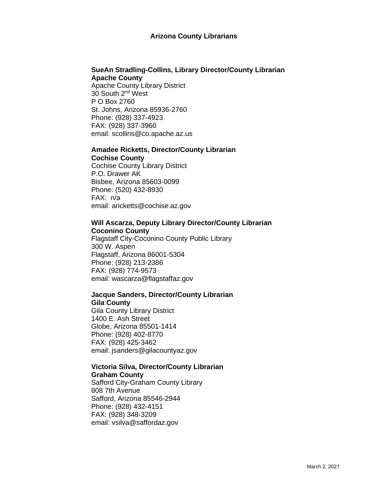#### **Arizona County Librarians**

## **SueAn Stradling-Collins, Library Director/County Librarian Apache County**

Apache County Library District 30 South 2nd West P O Box 2760 St. Johns, Arizona 85936-2760 Phone: (928) 337-4923 FAX: (928) 337-3960 email: scollins@co.apache.az.us

#### **Amadee Ricketts, Director/County Librarian Cochise County**

Cochise County Library District P.O. Drawer AK Bisbee, Arizona 85603-0099 Phone: (520) 432-8930 FAX: n/a email: aricketts@cochise.az.gov

#### **Will Ascarza, Deputy Library Director/County Librarian Coconino County**

Flagstaff City-Coconino County Public Library 300 W. Aspen Flagstaff, Arizona 86001-5304 Phone: (928) 213-2386 FAX: (928) 774-9573 email: wascarza@flagstaffaz.gov

## **Jacque Sanders, Director/County Librarian Gila County**

Gila County Library District 1400 E. Ash Street Globe, Arizona 85501-1414 Phone: (928) 402-8770 FAX: (928) 425-3462 email: jsanders@gilacountyaz.gov

## **Victoria Silva, Director/County Librarian Graham County**

Safford City-Graham County Library 808 7th Avenue Safford, Arizona 85546-2944 Phone: (928) 432-4151 FAX: (928) 348-3209 email: vsilva@saffordaz.gov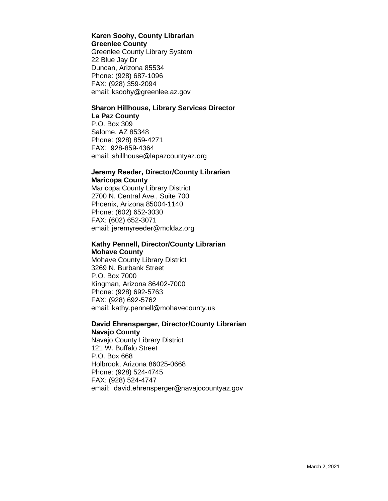#### **Karen Soohy, County Librarian Greenlee County**

Greenlee County Library System 22 Blue Jay Dr Duncan, Arizona 85534 Phone: (928) 687-1096 FAX: (928) 359-2094 email: ksoohy@greenlee.az.gov

# **Sharon Hillhouse, Library Services Director La Paz County**

P.O. Box 309 Salome, AZ 85348 Phone: (928) 859-4271 FAX: 928-859-4364 email: shillhouse@lapazcountyaz.org

## **Jeremy Reeder, Director/County Librarian Maricopa County**

Maricopa County Library District 2700 N. Central Ave., Suite 700 Phoenix, Arizona 85004-1140 Phone: (602) 652-3030 FAX: (602) 652-3071 email: jeremyreeder[@mcldaz.org](mailto:cindykolaczynski@mcldaz.org) 

## **Kathy Pennell, Director/County Librarian Mohave County**

Mohave County Library District 3269 N. Burbank Street P.O. Box 7000 Kingman, Arizona 86402-7000 Phone: (928) 692-5763 FAX: (928) 692-5762 email: kathy.pennell@mohavecounty.us

#### **David Ehrensperger, Director/County Librarian Navajo County**

Navajo County Library District 121 W. Buffalo Street P.O. Box 668 Holbrook, Arizona 86025-0668 Phone: (928) 524-4745 FAX: (928) 524-4747 email: david.ehrensperger@navajocountyaz.gov